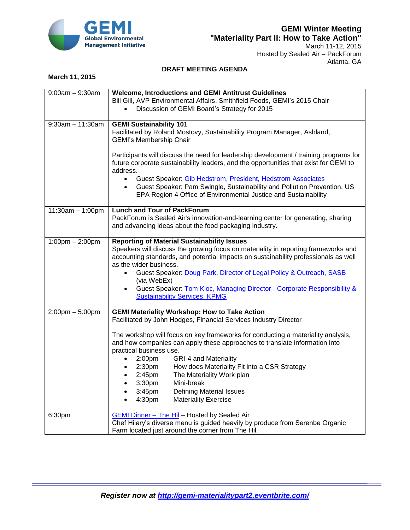

Hosted by Sealed Air – PackForum Atlanta, GA

## **DRAFT MEETING AGENDA**

## **March 11, 2015**

| $9:00am - 9:30am$                 | <b>Welcome, Introductions and GEMI Antitrust Guidelines</b>                                                                                                    |
|-----------------------------------|----------------------------------------------------------------------------------------------------------------------------------------------------------------|
|                                   | Bill Gill, AVP Environmental Affairs, Smithfield Foods, GEMI's 2015 Chair                                                                                      |
|                                   | Discussion of GEMI Board's Strategy for 2015                                                                                                                   |
|                                   |                                                                                                                                                                |
| $9:30am - 11:30am$                | <b>GEMI Sustainability 101</b>                                                                                                                                 |
|                                   | Facilitated by Roland Mostovy, Sustainability Program Manager, Ashland,                                                                                        |
|                                   | <b>GEMI's Membership Chair</b>                                                                                                                                 |
|                                   |                                                                                                                                                                |
|                                   | Participants will discuss the need for leadership development / training programs for                                                                          |
|                                   | future corporate sustainability leaders, and the opportunities that exist for GEMI to                                                                          |
|                                   | address.                                                                                                                                                       |
|                                   | Guest Speaker: Gib Hedstrom, President, Hedstrom Associates<br>$\bullet$                                                                                       |
|                                   | Guest Speaker: Pam Swingle, Sustainability and Pollution Prevention, US                                                                                        |
|                                   | EPA Region 4 Office of Environmental Justice and Sustainability                                                                                                |
|                                   | <b>Lunch and Tour of PackForum</b>                                                                                                                             |
| 11:30am - 1:00pm                  | PackForum is Sealed Air's innovation-and-learning center for generating, sharing                                                                               |
|                                   | and advancing ideas about the food packaging industry.                                                                                                         |
|                                   |                                                                                                                                                                |
| $1:00 \text{pm} - 2:00 \text{pm}$ | <b>Reporting of Material Sustainability Issues</b>                                                                                                             |
|                                   | Speakers will discuss the growing focus on materiality in reporting frameworks and                                                                             |
|                                   | accounting standards, and potential impacts on sustainability professionals as well                                                                            |
|                                   | as the wider business.                                                                                                                                         |
|                                   | Guest Speaker: Doug Park, Director of Legal Policy & Outreach, SASB<br>$\bullet$                                                                               |
|                                   | (via WebEx)                                                                                                                                                    |
|                                   | Guest Speaker: Tom Kloc, Managing Director - Corporate Responsibility &                                                                                        |
|                                   | <b>Sustainability Services, KPMG</b>                                                                                                                           |
|                                   |                                                                                                                                                                |
| $2:00$ pm $-5:00$ pm              | <b>GEMI Materiality Workshop: How to Take Action</b>                                                                                                           |
|                                   | Facilitated by John Hodges, Financial Services Industry Director                                                                                               |
|                                   |                                                                                                                                                                |
|                                   | The workshop will focus on key frameworks for conducting a materiality analysis,<br>and how companies can apply these approaches to translate information into |
|                                   | practical business use.                                                                                                                                        |
|                                   | <b>GRI-4 and Materiality</b><br>2:00pm<br>$\bullet$                                                                                                            |
|                                   | 2:30 <sub>pm</sub><br>How does Materiality Fit into a CSR Strategy<br>$\bullet$                                                                                |
|                                   | The Materiality Work plan<br>2:45pm<br>$\bullet$                                                                                                               |
|                                   | 3:30pm<br>Mini-break<br>$\bullet$                                                                                                                              |
|                                   | 3:45 <sub>pm</sub><br><b>Defining Material Issues</b><br>$\bullet$                                                                                             |
|                                   | 4:30pm<br><b>Materiality Exercise</b><br>$\bullet$                                                                                                             |
|                                   |                                                                                                                                                                |
| 6:30pm                            | <b>GEMI Dinner - The Hil - Hosted by Sealed Air</b>                                                                                                            |
|                                   | Chef Hilary's diverse menu is guided heavily by produce from Serenbe Organic                                                                                   |
|                                   | Farm located just around the corner from The Hil.                                                                                                              |